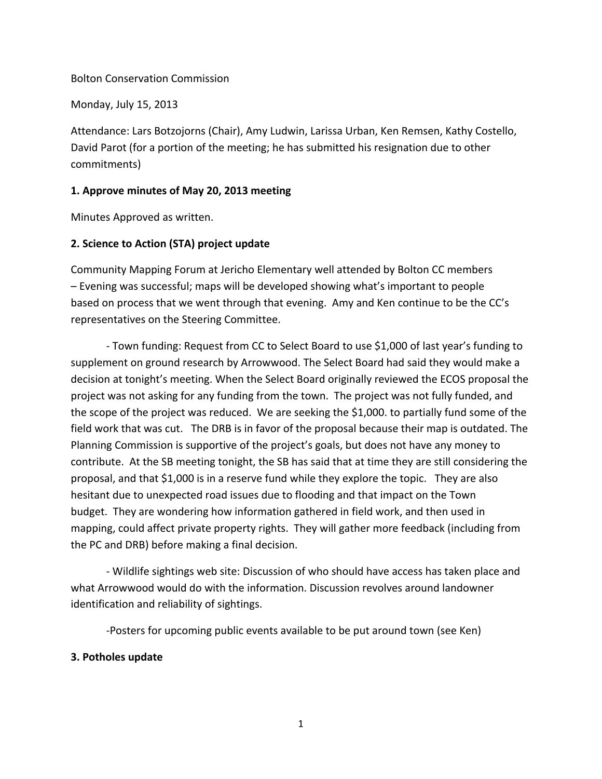#### Bolton Conservation Commission

Monday, July 15, 2013

Attendance: Lars Botzojorns (Chair), Amy Ludwin, Larissa Urban, Ken Remsen, Kathy Costello, David Parot (for a portion of the meeting; he has submitted his resignation due to other commitments)

#### **1. Approve minutes of May 20, 2013 meeting**

Minutes Approved as written.

## **2. Science to Action (STA) project update**

Community Mapping Forum at Jericho Elementary well attended by Bolton CC members – Evening was successful; maps will be developed showing what's important to people based on process that we went through that evening. Amy and Ken continue to be the CC's representatives on the Steering Committee.

- Town funding: Request from CC to Select Board to use \$1,000 of last year's funding to supplement on ground research by Arrowwood. The Select Board had said they would make a decision at tonight's meeting. When the Select Board originally reviewed the ECOS proposal the project was not asking for any funding from the town. The project was not fully funded, and the scope of the project was reduced. We are seeking the \$1,000. to partially fund some of the field work that was cut. The DRB is in favor of the proposal because their map is outdated. The Planning Commission is supportive of the project's goals, but does not have any money to contribute. At the SB meeting tonight, the SB has said that at time they are still considering the proposal, and that \$1,000 is in a reserve fund while they explore the topic. They are also hesitant due to unexpected road issues due to flooding and that impact on the Town budget. They are wondering how information gathered in field work, and then used in mapping, could affect private property rights. They will gather more feedback (including from the PC and DRB) before making a final decision.

- Wildlife sightings web site: Discussion of who should have access has taken place and what Arrowwood would do with the information. Discussion revolves around landowner identification and reliability of sightings.

-Posters for upcoming public events available to be put around town (see Ken)

## **3. Potholes update**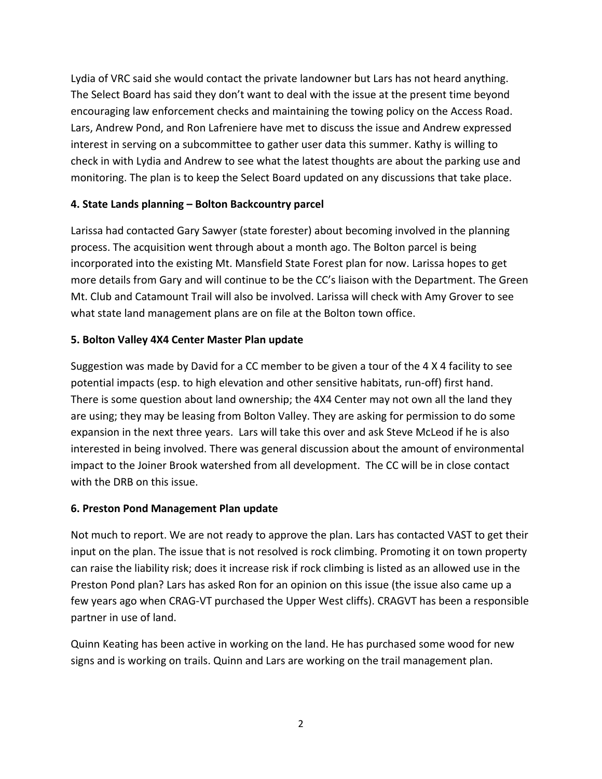Lydia of VRC said she would contact the private landowner but Lars has not heard anything. The Select Board has said they don't want to deal with the issue at the present time beyond encouraging law enforcement checks and maintaining the towing policy on the Access Road. Lars, Andrew Pond, and Ron Lafreniere have met to discuss the issue and Andrew expressed interest in serving on a subcommittee to gather user data this summer. Kathy is willing to check in with Lydia and Andrew to see what the latest thoughts are about the parking use and monitoring. The plan is to keep the Select Board updated on any discussions that take place.

## **4. State Lands planning – Bolton Backcountry parcel**

Larissa had contacted Gary Sawyer (state forester) about becoming involved in the planning process. The acquisition went through about a month ago. The Bolton parcel is being incorporated into the existing Mt. Mansfield State Forest plan for now. Larissa hopes to get more details from Gary and will continue to be the CC's liaison with the Department. The Green Mt. Club and Catamount Trail will also be involved. Larissa will check with Amy Grover to see what state land management plans are on file at the Bolton town office.

# **5. Bolton Valley 4X4 Center Master Plan update**

Suggestion was made by David for a CC member to be given a tour of the 4 X 4 facility to see potential impacts (esp. to high elevation and other sensitive habitats, run-off) first hand. There is some question about land ownership; the 4X4 Center may not own all the land they are using; they may be leasing from Bolton Valley. They are asking for permission to do some expansion in the next three years. Lars will take this over and ask Steve McLeod if he is also interested in being involved. There was general discussion about the amount of environmental impact to the Joiner Brook watershed from all development. The CC will be in close contact with the DRB on this issue.

## **6. Preston Pond Management Plan update**

Not much to report. We are not ready to approve the plan. Lars has contacted VAST to get their input on the plan. The issue that is not resolved is rock climbing. Promoting it on town property can raise the liability risk; does it increase risk if rock climbing is listed as an allowed use in the Preston Pond plan? Lars has asked Ron for an opinion on this issue (the issue also came up a few years ago when CRAG-VT purchased the Upper West cliffs). CRAGVT has been a responsible partner in use of land.

Quinn Keating has been active in working on the land. He has purchased some wood for new signs and is working on trails. Quinn and Lars are working on the trail management plan.